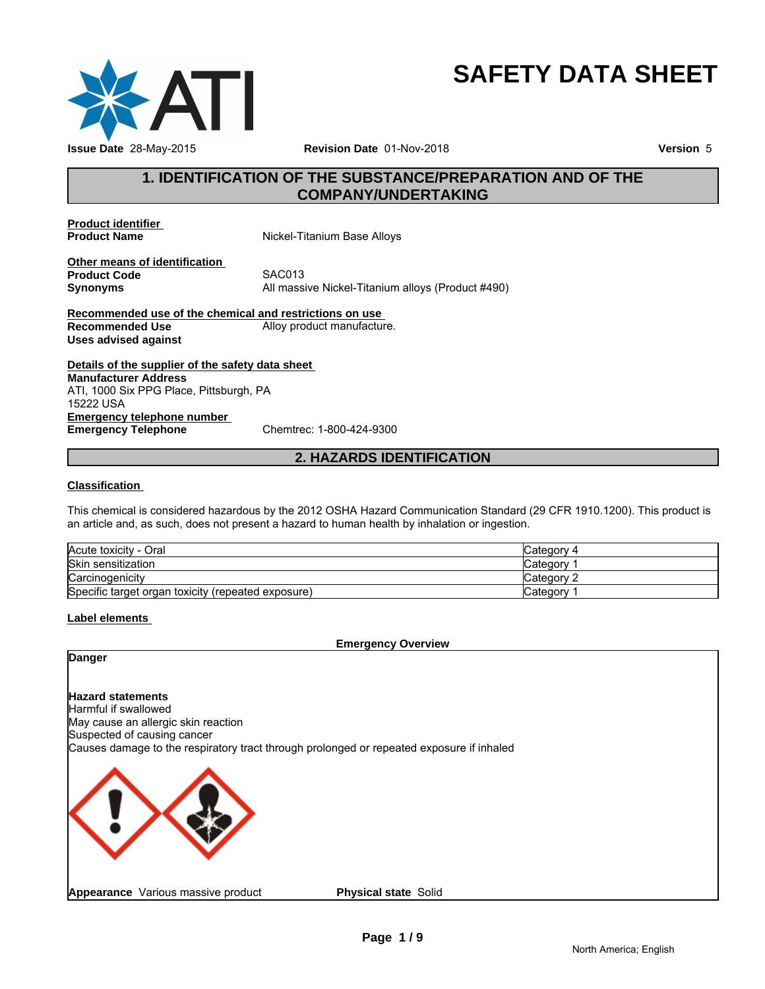

# **SAFETY DATA SHEET**

# **1. IDENTIFICATION OF THE SUBSTANCE/PREPARATION AND OF THE<br>
THE SUBSTANCE/PREPARATION AND OF THE<br>
The COMPANY/UNDERTAKING<br>
The Mickel-Titanium Base Allovs COMPANY/UNDERTAKING**

**Product identifier** 

**Nickel-Titanium Base Alloys** 

**Other means of identification**<br>**Product Code** SAC013 **Product Code**<br>Synonyms

**Synonyms** All massive Nickel-Titanium alloys (Product #490) **2. HAZARDS IDENTIFICATION**<br>
2012 OSHA Hazard Communication Standard (29 CFR 1910.1200). This pro<br>
2012 OSHA Hazard Communication Standard (29 CFR 1910.1200). This pro

**Recommended use of the chemical and restrictions on use Recommended Use Alloy product manufacture. Uses advised against**

**Details of the supplier of the safety data sheet Emergency telephone number**<br> **Emergency Telephone**<br>
Chemtrec: 1-800-424-9300 **Emergency Telephone Manufacturer Address** ATI, 1000 Six PPG Place, Pittsburgh, PA 15222 USA

# **Classification**

This chemical is considered hazardous by the 2012 OSHA Hazard Communication Standard (29 CFR 1910.1200). This product is an article and, as such, does not present a hazard to human health by inhalation or ingestion.

| Acute toxicity - Oral                              | Category 4  |
|----------------------------------------------------|-------------|
| Skin sensitization                                 | ∵ategoryک   |
| Carcinogenicity                                    | ″ ategoryٽ  |
| Specific target organ toxicity (repeated exposure) | √category ⊘ |

# **Label elements**

**Emergency Overview**

**Danger**

# **Hazard statements**

Harmful if swallowed May cause an allergic skin reaction Suspected of causing cancer Causes damage to the respiratory tract through prolonged or repeated exposure if inhaled



**Physical state** Solid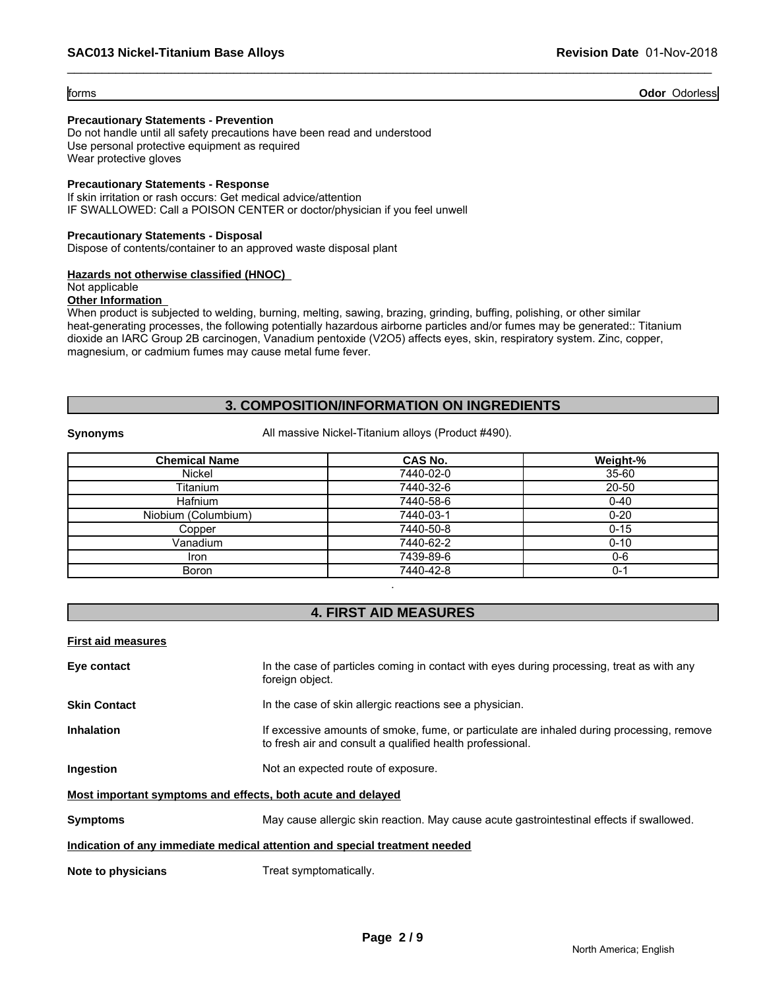# forms **Odor** Odorless

# **Precautionary Statements - Prevention**

Do not handle until all safety precautions have been read and understood Use personal protective equipment as required Wear protective gloves

# **Precautionary Statements - Response**

If skin irritation or rash occurs: Get medical advice/attention IF SWALLOWED: Call a POISON CENTER or doctor/physician if you feel unwell

# **Precautionary Statements - Disposal**

Dispose of contents/container to an approved waste disposal plant

# **Hazards not otherwise classified (HNOC)**

Not applicable

# **Other Information**

When product is subjected to welding, burning, melting, sawing, brazing, grinding, buffing, polishing, or other similar heat-generating processes, the following potentially hazardous airborne particles and/or fumes may be generated:: Titanium dioxide an IARC Group 2B carcinogen, Vanadium pentoxide (V2O5) affects eyes, skin, respiratory system. Zinc, copper, magnesium, or cadmium fumes may cause metal fume fever. **3. COMPOSITION/INFORMATION ON INGREDIENTS**<br> **3. COMPOSITION/INFORMATION ON INGREDIENTS**<br> **3. COMPOSITION/INFORMATION ON INGREDIENTS**<br> **3. COMPOSITION/INFORMATION ON INGREDIENTS**<br>
All massive Nickel-Titanium alloys (Produc

|                           | 3. COMPOSITION/INFORMATION ON INGREDIENTS                                                 |           |
|---------------------------|-------------------------------------------------------------------------------------------|-----------|
| <b>Synonyms</b>           | All massive Nickel-Titanium alloys (Product #490).                                        |           |
| <b>Chemical Name</b>      | CAS No.                                                                                   | Weight-%  |
| Nickel                    | 7440-02-0                                                                                 | $35 - 60$ |
| Titanium                  | 7440-32-6                                                                                 | 20-50     |
| <b>Hafnium</b>            | 7440-58-6                                                                                 | $0 - 40$  |
| Niobium (Columbium)       | 7440-03-1                                                                                 | $0 - 20$  |
| Copper                    | 7440-50-8                                                                                 | $0 - 15$  |
| Vanadium                  | 7440-62-2                                                                                 | $0 - 10$  |
| Iron                      | 7439-89-6                                                                                 | $0 - 6$   |
| Boron                     | 7440-42-8                                                                                 | $0 - 1$   |
|                           | <b>4. FIRST AID MEASURES</b>                                                              |           |
| <b>First aid measures</b> |                                                                                           |           |
| Eve contact               | In the case of particles coming in contact with eves during processing, treat as with any |           |

| <b>First aid measures</b>                                   |                                                                                                                                                        |
|-------------------------------------------------------------|--------------------------------------------------------------------------------------------------------------------------------------------------------|
| Eye contact                                                 | In the case of particles coming in contact with eyes during processing, treat as with any<br>foreign object.                                           |
| <b>Skin Contact</b>                                         | In the case of skin allergic reactions see a physician.                                                                                                |
| <b>Inhalation</b>                                           | If excessive amounts of smoke, fume, or particulate are inhaled during processing, remove<br>to fresh air and consult a qualified health professional. |
| Ingestion                                                   | Not an expected route of exposure.                                                                                                                     |
| Most important symptoms and effects, both acute and delayed |                                                                                                                                                        |
| <b>Symptoms</b>                                             | May cause allergic skin reaction. May cause acute gastrointestinal effects if swallowed.                                                               |
|                                                             | Indication of any immediate medical attention and special treatment needed                                                                             |
| Note to physicians                                          | Treat symptomatically.                                                                                                                                 |
|                                                             |                                                                                                                                                        |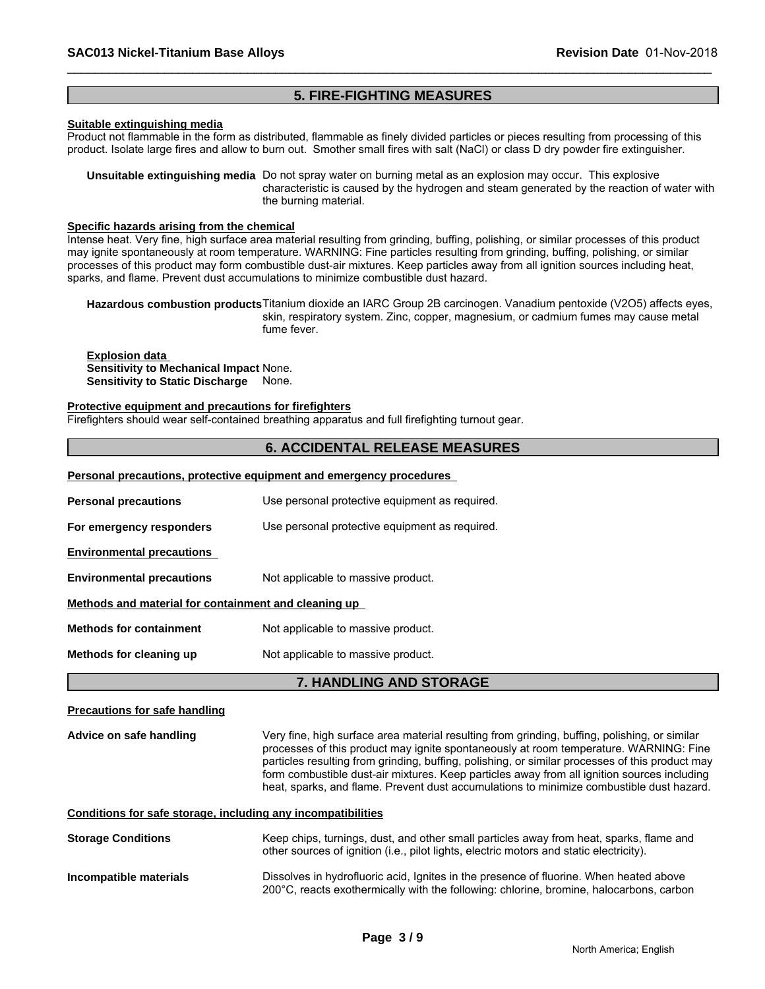# **5. FIRE-FIGHTING MEASURES**

# **Suitable extinguishing media**

Product not flammable in the form as distributed, flammable as finely divided particles or pieces resulting from processing of this product. Isolate large fires and allow to burn out. Smother small fires with salt (NaCl) or class D dry powder fire extinguisher.

**Unsuitable extinguishing media** Do not spray water on burning metal as an explosion may occur. This explosive characteristic is caused by the hydrogen and steam generated by the reaction of water with the burning material.

# **Specific hazards arising from the chemical**

Intense heat. Very fine, high surface area material resulting from grinding, buffing, polishing, or similar processes of this product may ignite spontaneously at room temperature. WARNING: Fine particles resulting from grinding, buffing, polishing, or similar processes of this product may form combustible dust-air mixtures. Keep particles away from all ignition sources including heat, sparks, and flame. Prevent dust accumulations to minimize combustible dust hazard.

**Hazardous combustion products**Titanium dioxide an IARC Group 2B carcinogen. Vanadium pentoxide (V2O5) affects eyes, skin, respiratory system. Zinc, copper, magnesium, or cadmium fumes may cause metal fume fever.

**Explosion data Sensitivity to Mechanical Impact** None. **Sensitivity to Static Discharge** None.

# **Protective equipment and precautions for firefighters**

Firefighters should wear self-contained breathing apparatus and full firefighting turnout gear.

# **6. ACCIDENTAL RELEASE MEASURES**

# **Personal precautions, protective equipment and emergency procedures**

| <b>Personal precautions</b>                          | Use personal protective equipment as required. |  |
|------------------------------------------------------|------------------------------------------------|--|
| For emergency responders                             | Use personal protective equipment as required. |  |
| <b>Environmental precautions</b>                     |                                                |  |
| <b>Environmental precautions</b>                     | Not applicable to massive product.             |  |
| Methods and material for containment and cleaning up |                                                |  |
| <b>Methods for containment</b>                       | Not applicable to massive product.             |  |
| Methods for cleaning up                              | Not applicable to massive product.             |  |

# **7. HANDLING AND STORAGE**

# **Precautions for safe handling**

**Advice on safe handling** Very fine, high surface area material resulting from grinding, buffing, polishing, or similar processes of this product may ignite spontaneously at room temperature. WARNING: Fine particles resulting from grinding, buffing, polishing, or similar processes of this product may form combustible dust-air mixtures. Keep particles away from all ignition sources including heat, sparks, and flame. Prevent dust accumulations to minimize combustible dust hazard.

# **Conditions for safe storage, including any incompatibilities**

| <b>Storage Conditions</b> | Keep chips, turnings, dust, and other small particles away from heat, sparks, flame and<br>other sources of ignition (i.e., pilot lights, electric motors and static electricity). |
|---------------------------|------------------------------------------------------------------------------------------------------------------------------------------------------------------------------------|
| Incompatible materials    | Dissolves in hydrofluoric acid, Ignites in the presence of fluorine. When heated above<br>200°C, reacts exothermically with the following: chlorine, bromine, halocarbons, carbon  |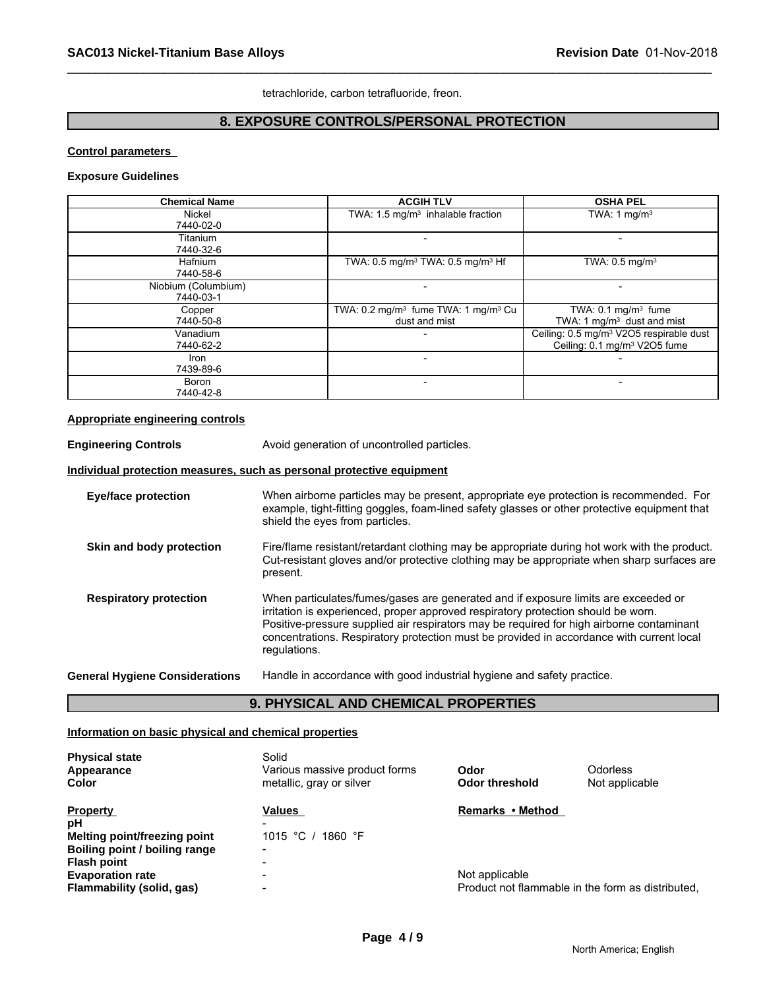tetrachloride, carbon tetrafluoride, freon.

# **8. EXPOSURE CONTROLS/PERSONAL PROTECTION**

# **Control parameters**

# **Exposure Guidelines**

| <b>Chemical Name</b> | <b>ACGIH TLV</b>                                            | <b>OSHA PEL</b>                                     |
|----------------------|-------------------------------------------------------------|-----------------------------------------------------|
| Nickel               | TWA: $1.5 \text{ mg/m}^3$ inhalable fraction                | TWA: 1 mg/m <sup>3</sup>                            |
| 7440-02-0            |                                                             |                                                     |
| Titanium             |                                                             |                                                     |
| 7440-32-6            |                                                             |                                                     |
| Hafnium              | TWA: 0.5 mg/m <sup>3</sup> TWA: 0.5 mg/m <sup>3</sup> Hf    | TWA: $0.5$ mg/m <sup>3</sup>                        |
| 7440-58-6            |                                                             |                                                     |
| Niobium (Columbium)  |                                                             |                                                     |
| 7440-03-1            |                                                             |                                                     |
| Copper               | TWA: 0.2 mg/m <sup>3</sup> fume TWA: 1 mg/m <sup>3</sup> Cu | TWA: $0.1 \text{ mg/m}^3$ fume                      |
| 7440-50-8            | dust and mist                                               | TWA: 1 $mq/m3$ dust and mist                        |
| Vanadium             |                                                             | Ceiling: 0.5 mg/m <sup>3</sup> V2O5 respirable dust |
| 7440-62-2            |                                                             | Ceiling: 0.1 mg/m <sup>3</sup> V2O5 fume            |
| Iron                 |                                                             |                                                     |
| 7439-89-6            |                                                             |                                                     |
| Boron                |                                                             |                                                     |
| 7440-42-8            |                                                             |                                                     |

# **Appropriate engineering controls**

**Engineering Controls Avoid generation of uncontrolled particles. Individual protection measures, such as personal protective equipment Eye/face protection** When airborne particles may be present, appropriate eye protection is recommended. For example, tight-fitting goggles, foam-lined safety glasses or other protective equipment that shield the eyes from particles. **Skin and body protection** Fire/flame resistant/retardant clothing may be appropriate during hot work with the product. Cut-resistant gloves and/or protective clothing may be appropriate when sharp surfaces are present. **Respiratory protection** When particulates/fumes/gases are generated and if exposure limits are exceeded or irritation is experienced, proper approved respiratory protection should be worn. Positive-pressure supplied air respirators may be required for high airborne contaminant concentrations. Respiratory protection must be provided in accordance with current local regulations. **General Hygiene Considerations** Handle in accordance with good industrial hygiene and safety practice.

# **9. PHYSICAL AND CHEMICAL PROPERTIES**

# **Information on basic physical and chemical properties**

| <b>Physical state</b><br>Appearance<br>Color | Solid<br>Various massive product forms<br>metallic, gray or silver | Odor<br>Odor threshold                            | Odorless<br>Not applicable |
|----------------------------------------------|--------------------------------------------------------------------|---------------------------------------------------|----------------------------|
| <b>Property</b>                              | Values                                                             | Remarks • Method                                  |                            |
| рH                                           |                                                                    |                                                   |                            |
| <b>Melting point/freezing point</b>          | 1015 °C / 1860 °F                                                  |                                                   |                            |
| Boiling point / boiling range                |                                                                    |                                                   |                            |
| Flash point                                  |                                                                    |                                                   |                            |
| <b>Evaporation rate</b>                      | $\overline{\phantom{0}}$                                           | Not applicable                                    |                            |
| Flammability (solid, gas)                    | $\overline{\phantom{0}}$                                           | Product not flammable in the form as distributed. |                            |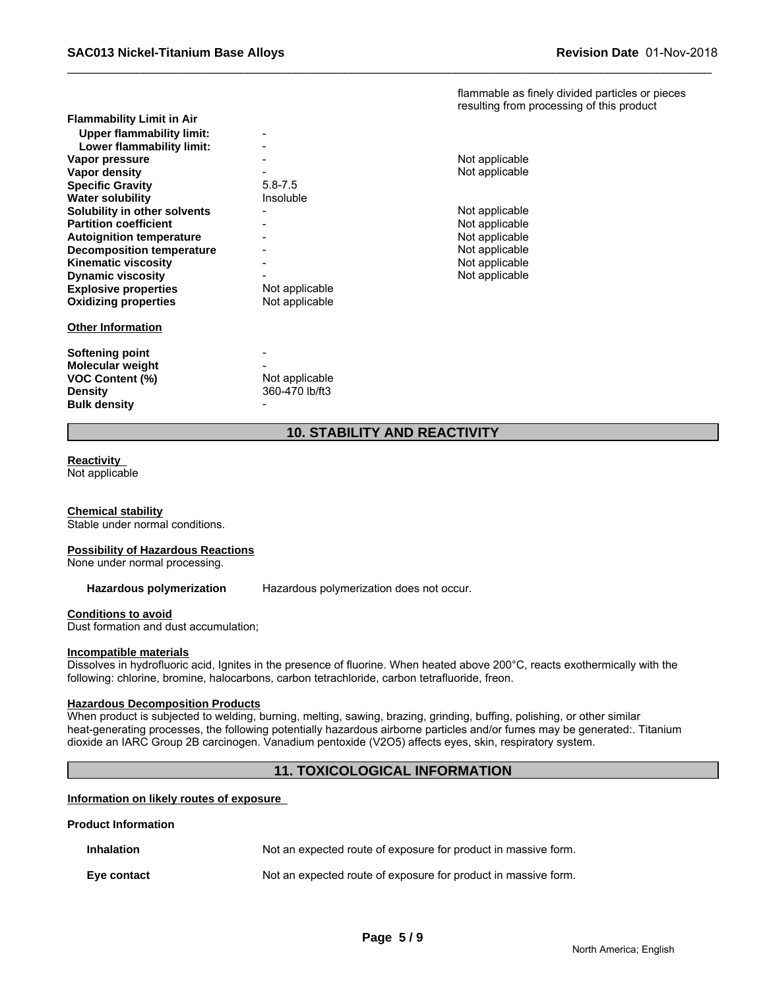flammable as finely divided particles or pieces resulting from processing of this product

| <b>Flammability Limit in Air</b> |                |                |
|----------------------------------|----------------|----------------|
| <b>Upper flammability limit:</b> |                |                |
| Lower flammability limit:        |                |                |
| Vapor pressure                   |                | Not applicable |
| Vapor density                    |                | Not applicable |
| <b>Specific Gravity</b>          | $5.8 - 7.5$    |                |
| <b>Water solubility</b>          | Insoluble      |                |
| Solubility in other solvents     |                | Not applicable |
| <b>Partition coefficient</b>     |                | Not applicable |
| <b>Autoignition temperature</b>  |                | Not applicable |
| <b>Decomposition temperature</b> |                | Not applicable |
| <b>Kinematic viscosity</b>       |                | Not applicable |
| <b>Dynamic viscosity</b>         |                | Not applicable |
| <b>Explosive properties</b>      | Not applicable |                |
| <b>Oxidizing properties</b>      | Not applicable |                |
| <b>Other Information</b>         |                |                |
| Softening point                  |                |                |
| <b>Molecular weight</b>          |                |                |
| <b>VOC Content (%)</b>           | Not applicable |                |
| <b>Density</b>                   | 360-470 lb/ft3 |                |
| <b>Bulk density</b>              |                |                |

| Not applicable<br>Not applicable                                                                         |
|----------------------------------------------------------------------------------------------------------|
| Not applicable<br>Not applicable<br>Not applicable<br>Not applicable<br>Not applicable<br>Not applicable |

# **10. STABILITY AND REACTIVITY**

# **Reactivity**

Not applicable

**Chemical stability** Stable under normal conditions.

# **Possibility of Hazardous Reactions**

None under normal processing.

**Hazardous polymerization** Hazardous polymerization does not occur.

# **Conditions to avoid**

Dust formation and dust accumulation;

# **Incompatible materials**

Dissolves in hydrofluoric acid, Ignites in the presence of fluorine. When heated above 200°C, reacts exothermically with the following: chlorine, bromine, halocarbons, carbon tetrachloride, carbon tetrafluoride, freon.

# **Hazardous Decomposition Products**

When product is subjected to welding, burning, melting, sawing, brazing, grinding, buffing, polishing, or other similar heat-generating processes, the following potentially hazardous airborne particles and/or fumes may be generated:. Titanium dioxide an IARC Group 2B carcinogen. Vanadium pentoxide (V2O5) affects eyes, skin, respiratory system.

# **11. TOXICOLOGICAL INFORMATION**

# **Information on likely routes of exposure**

# **Product Information**

| <b>Inhalation</b> | Not an expected route of exposure for product in massive form. |
|-------------------|----------------------------------------------------------------|
| Eve contact       | Not an expected route of exposure for product in massive form. |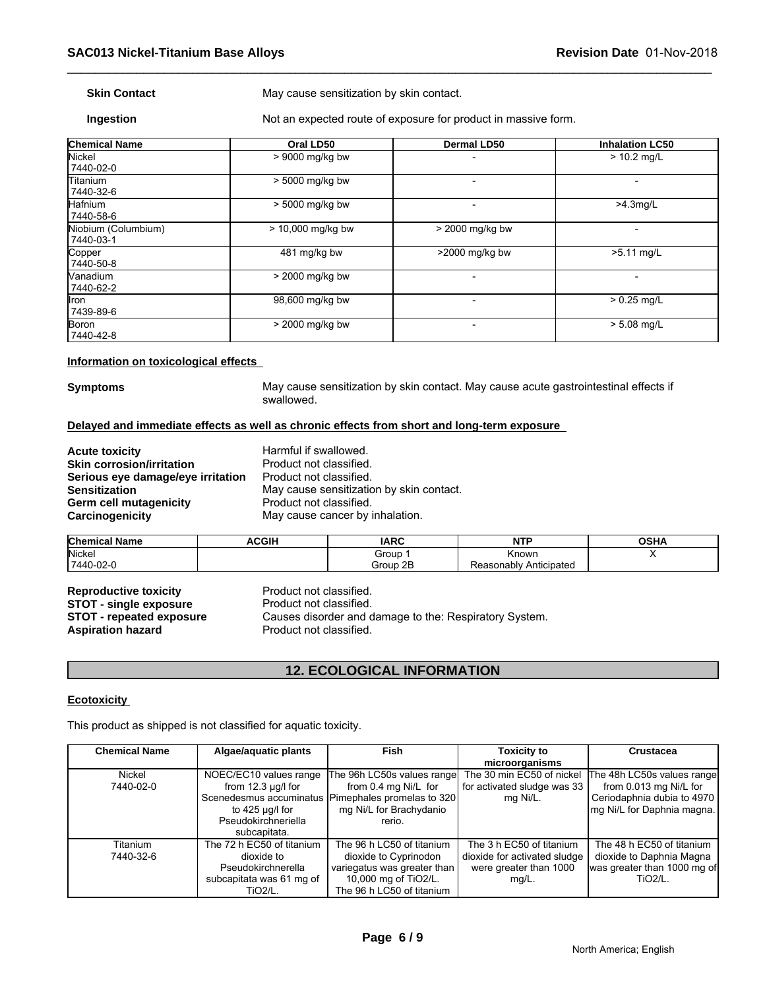**Skin Contact** May cause sensitization by skin contact.

**Ingestion** Not an expected route of exposure for product in massive form.

| <b>Chemical Name</b>             | Oral LD50         | <b>Dermal LD50</b> | <b>Inhalation LC50</b> |
|----------------------------------|-------------------|--------------------|------------------------|
| <b>Nickel</b><br>7440-02-0       | > 9000 mg/kg bw   |                    | $> 10.2$ mg/L          |
| <b>Titanium</b><br>7440-32-6     | > 5000 mg/kg bw   |                    |                        |
| Hafnium<br>7440-58-6             | > 5000 mg/kg bw   |                    | $>4.3$ mg/L            |
| Niobium (Columbium)<br>7440-03-1 | > 10,000 mg/kg bw | > 2000 mg/kg bw    |                        |
| Copper<br>7440-50-8              | 481 mg/kg bw      | >2000 mg/kg bw     | $>5.11$ mg/L           |
| Vanadium<br>7440-62-2            | > 2000 mg/kg bw   |                    |                        |
| llron<br>7439-89-6               | 98,600 mg/kg bw   |                    | $> 0.25$ mg/L          |
| <b>Boron</b><br>7440-42-8        | > 2000 mg/kg bw   |                    | $> 5.08$ mg/L          |

# **Information on toxicological effects**

**Symptoms** May cause sensitization by skin contact. May cause acute gastrointestinal effects if swallowed.

# **Delayed and immediate effects as well as chronic effects from short and long-term exposure**

| <b>Acute toxicity</b>             | Harmful if swallowed.                    |
|-----------------------------------|------------------------------------------|
| <b>Skin corrosion/irritation</b>  | Product not classified.                  |
| Serious eye damage/eye irritation | Product not classified.                  |
| <b>Sensitization</b>              | May cause sensitization by skin contact. |
| <b>Germ cell mutagenicity</b>     | Product not classified.                  |
| Carcinogenicity                   | May cause cancer by inhalation.          |
|                                   |                                          |

| <b>Chemical Name</b> | <b>ACGIH</b> | <b>IARC</b> | NITO<br>.                 | $\sim$ $\sim$<br>VJNA |
|----------------------|--------------|-------------|---------------------------|-----------------------|
| Nicke <sub>l</sub>   |              | Group       | ≺nown                     |                       |
| 7440-02-0            |              | Group 2B    | Anticipateo<br>Reasonablv |                       |

**Reproductive toxicity Reproductive Product not classified.**<br> **STOT - single exposure** Product not classified. **STOT - single exposure<br>STOT - repeated exposure** Aspiration hazard **Product not classified.** 

Causes disorder and damage to the: Respiratory System.

# **12. ECOLOGICAL INFORMATION**

# **Ecotoxicity**

| NGPI DUUDLIYG LOAIDILY<br><b>STOT - single exposure</b><br><b>STOT - repeated exposure</b><br><b>Aspiration hazard</b> | Product not classified.<br>Causes disorder and damage to the: Respiratory System.<br>Product not classified.     |                                                                                                                                                 |                                                                                             |                                                                                                                  |  |  |
|------------------------------------------------------------------------------------------------------------------------|------------------------------------------------------------------------------------------------------------------|-------------------------------------------------------------------------------------------------------------------------------------------------|---------------------------------------------------------------------------------------------|------------------------------------------------------------------------------------------------------------------|--|--|
|                                                                                                                        |                                                                                                                  | <b>12. ECOLOGICAL INFORMATION</b>                                                                                                               |                                                                                             |                                                                                                                  |  |  |
| <b>Ecotoxicity</b>                                                                                                     |                                                                                                                  |                                                                                                                                                 |                                                                                             |                                                                                                                  |  |  |
|                                                                                                                        | This product as shipped is not classified for aquatic toxicity.                                                  |                                                                                                                                                 |                                                                                             |                                                                                                                  |  |  |
| <b>Chemical Name</b>                                                                                                   | Algae/aquatic plants                                                                                             | Fish                                                                                                                                            | <b>Toxicity to</b><br>microorganisms                                                        | <b>Crustacea</b>                                                                                                 |  |  |
| Nickel<br>7440-02-0                                                                                                    | NOEC/EC10 values range<br>from $12.3 \mu g/l$ for<br>to 425 $\mu$ g/l for<br>Pseudokirchneriella<br>subcapitata. | The 96h LC50s values range<br>from 0.4 mg Ni/L for<br>Scenedesmus accuminatus   Pimephales promelas to 320<br>mg Ni/L for Brachydanio<br>rerio. | The 30 min EC50 of nickel<br>for activated sludge was 33<br>mg Ni/L.                        | The 48h LC50s values range<br>from 0.013 mg Ni/L for<br>Ceriodaphnia dubia to 4970<br>mg Ni/L for Daphnia magna. |  |  |
| Titanium<br>7440-32-6                                                                                                  | The 72 h EC50 of titanium<br>dioxide to<br>Pseudokirchnerella<br>subcapitata was 61 mg of<br><b>TiO2/L.</b>      | The 96 h LC50 of titanium<br>dioxide to Cyprinodon<br>variegatus was greater than<br>10,000 mg of TiO2/L.<br>The 96 h LC50 of titanium          | The 3 h EC50 of titanium<br>dioxide for activated sludge<br>were greater than 1000<br>mg/L. | The 48 h EC50 of titanium<br>dioxide to Daphnia Magna<br>was greater than 1000 mg of<br>TiO <sub>2</sub> /L.     |  |  |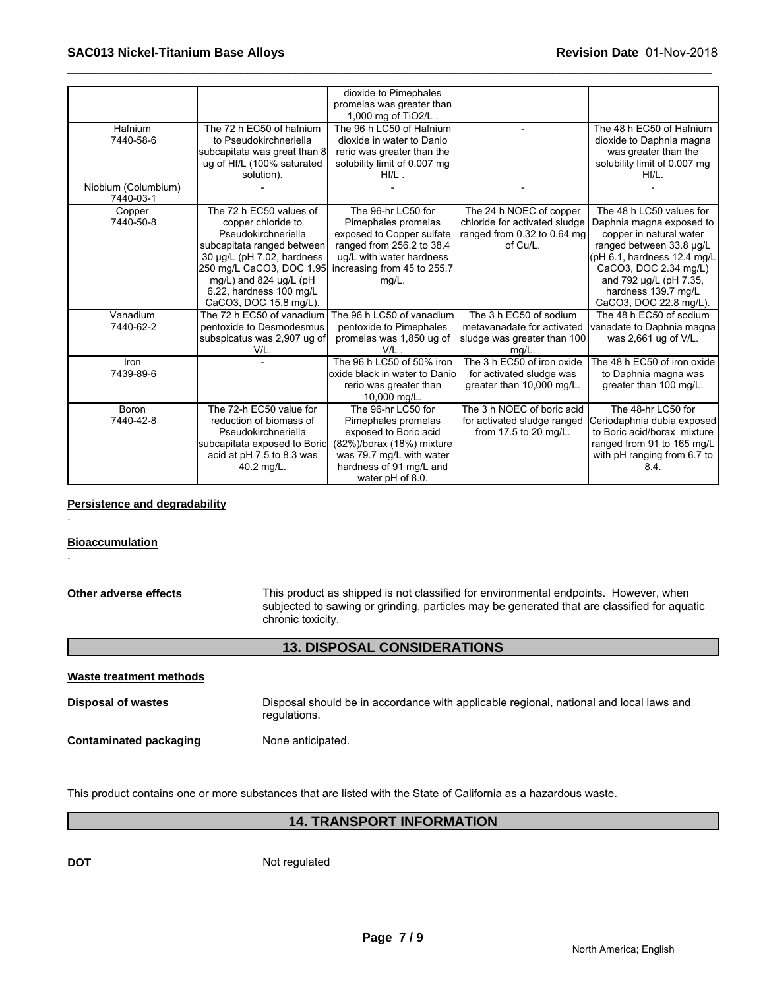|                     |                              | dioxide to Pimephales<br>promelas was greater than |                               |                              |
|---------------------|------------------------------|----------------------------------------------------|-------------------------------|------------------------------|
|                     |                              | 1,000 mg of TiO2/L                                 |                               |                              |
| Hafnium             | The 72 h EC50 of hafnium     | The 96 h LC50 of Hafnium                           |                               | The 48 h EC50 of Hafnium     |
| 7440-58-6           | to Pseudokirchneriella       | dioxide in water to Danio                          |                               | dioxide to Daphnia magna     |
|                     | subcapitata was great than 8 | rerio was greater than the                         |                               | was greater than the         |
|                     | ug of Hf/L (100% saturated   | solubility limit of 0.007 mg                       |                               | solubility limit of 0.007 mg |
|                     | solution).                   | $Hf/L$ .                                           |                               | $Hf/L$ .                     |
| Niobium (Columbium) |                              |                                                    |                               |                              |
| 7440-03-1           |                              |                                                    |                               |                              |
| Copper              | The 72 h EC50 values of      | The 96-hr LC50 for                                 | The 24 h NOEC of copper       | The 48 h LC50 values for     |
| 7440-50-8           | copper chloride to           | Pimephales promelas                                | chloride for activated sludge | Daphnia magna exposed to     |
|                     | Pseudokirchneriella          | exposed to Copper sulfate                          | ranged from 0.32 to 0.64 mg   | copper in natural water      |
|                     | subcapitata ranged between   | ranged from 256.2 to 38.4                          | of Cu/L.                      | ranged between 33.8 µg/L     |
|                     | 30 µg/L (pH 7.02, hardness   | ug/L with water hardness                           |                               | (pH 6.1, hardness 12.4 mg/L  |
|                     | 250 mg/L CaCO3, DOC 1.95     | increasing from 45 to 255.7                        |                               | CaCO3, DOC 2.34 mg/L)        |
|                     | mg/L) and 824 µg/L (pH       | mg/L.                                              |                               | and 792 µg/L (pH 7.35,       |
|                     | 6.22, hardness 100 mg/L      |                                                    |                               | hardness 139.7 mg/L          |
|                     | CaCO3, DOC 15.8 mg/L).       |                                                    |                               | CaCO3, DOC 22.8 mg/L).       |
| Vanadium            | The 72 h EC50 of vanadium    | The 96 h LC50 of vanadium                          | The 3 h EC50 of sodium        | The 48 h EC50 of sodium      |
| 7440-62-2           | pentoxide to Desmodesmus     | pentoxide to Pimephales                            | metavanadate for activated    | vanadate to Daphnia magna    |
|                     | subspicatus was 2,907 ug of  | promelas was 1,850 ug of                           | sludge was greater than 100   | was 2,661 ug of V/L.         |
|                     | V/L.                         | V/L                                                | mq/L                          |                              |
| Iron                |                              | The 96 h LC50 of 50% iron                          | The 3 h EC50 of iron oxide    | The 48 h EC50 of iron oxide  |
| 7439-89-6           |                              | oxide black in water to Danio                      | for activated sludge was      | to Daphnia magna was         |
|                     |                              | rerio was greater than                             | greater than 10,000 mg/L.     | greater than 100 mg/L.       |
|                     |                              | 10,000 mg/L.                                       |                               |                              |
| Boron               | The 72-h EC50 value for      | The 96-hr LC50 for                                 | The 3 h NOEC of boric acid    | The 48-hr LC50 for           |
| 7440-42-8           | reduction of biomass of      | Pimephales promelas                                | for activated sludge ranged   | Ceriodaphnia dubia exposed   |
|                     | Pseudokirchneriella          | exposed to Boric acid                              | from 17.5 to 20 mg/L.         | to Boric acid/borax mixture  |
|                     | subcapitata exposed to Boric | (82%)/borax (18%) mixture                          |                               | ranged from 91 to 165 mg/L   |
|                     | acid at pH 7.5 to 8.3 was    | was 79.7 mg/L with water                           |                               | with pH ranging from 6.7 to  |
|                     | 40.2 mg/L.                   | hardness of 91 mg/L and                            |                               | 8.4.                         |
|                     |                              | water pH of 8.0.                                   |                               |                              |

# **Persistence and degradability**

# **Bioaccumulation**

.

.

# **13. DISPOSAL CONSIDERATIONS**

| Waste treatment methods       |                                                                                                        |
|-------------------------------|--------------------------------------------------------------------------------------------------------|
| <b>Disposal of wastes</b>     | Disposal should be in accordance with applicable regional, national and local laws and<br>regulations. |
| <b>Contaminated packaging</b> | None anticipated.                                                                                      |

This product contains one or more substances that are listed with the State of California as a hazardous waste.

# **14. TRANSPORT INFORMATION**

**DOT** Not regulated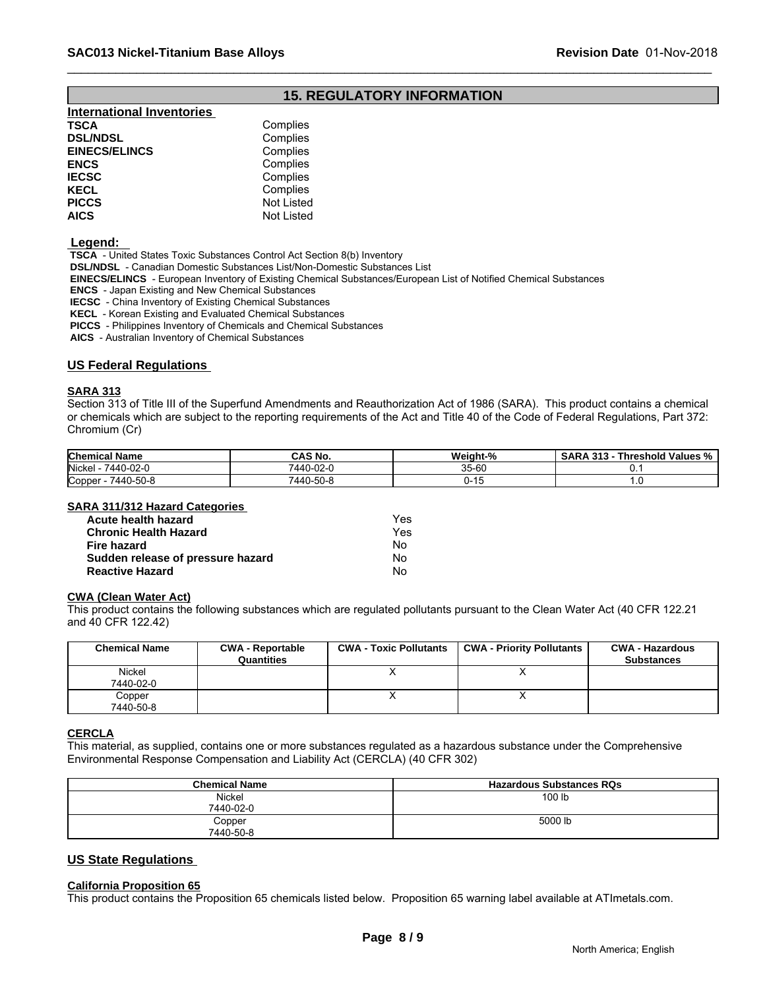# **15. REGULATORY INFORMATION**

| <b>International Inventories</b> |                   |
|----------------------------------|-------------------|
| TSCA                             | Complies          |
| <b>DSL/NDSL</b>                  | Complies          |
| <b>EINECS/ELINCS</b>             | Complies          |
| ENCS                             | Complies          |
| <b>IECSC</b>                     | Complies          |
| KECL                             | Complies          |
| PICCS                            | <b>Not Listed</b> |
| AICS                             | Not Listed        |
|                                  |                   |

# **Legend:**

 **TSCA** - United States Toxic Substances Control Act Section 8(b) Inventory

 **DSL/NDSL** - Canadian Domestic Substances List/Non-Domestic Substances List

 **EINECS/ELINCS** - European Inventory of Existing Chemical Substances/European List of Notified Chemical Substances

 **ENCS** - Japan Existing and New Chemical Substances

 **IECSC** - China Inventory of Existing Chemical Substances

 **KECL** - Korean Existing and Evaluated Chemical Substances

 **PICCS** - Philippines Inventory of Chemicals and Chemical Substances

 **AICS** - Australian Inventory of Chemical Substances

# **US Federal Regulations**

# **SARA 313**

Section 313 of Title III of the Superfund Amendments and Reauthorization Act of 1986 (SARA). This product contains a chemical or chemicals which are subject to the reporting requirements of the Act and Title 40 of the Code of Federal Regulations, Part 372: Chromium (Cr)

| <b>Chemical Name</b>       | CAS No.   | <b>Weight-%</b><br>-4.01<br>- 70 | .<br>$\sim$ AD<br><b>040</b><br>Threshold Values %<br>SARA<br>$\mathbf{r}$<br>. |
|----------------------------|-----------|----------------------------------|---------------------------------------------------------------------------------|
| 7440-02-0<br><b>Nickel</b> | 7440-02-  | or co<br>35-0U                   |                                                                                 |
| Copper<br>7440-50-8        | 7440-50-১ | .                                |                                                                                 |

# **SARA 311/312 Hazard Categories**

| Acute health hazard               | Yes |  |
|-----------------------------------|-----|--|
| <b>Chronic Health Hazard</b>      | Yes |  |
| Fire hazard                       | No. |  |
| Sudden release of pressure hazard | No  |  |
| <b>Reactive Hazard</b>            | No  |  |

# **CWA (Clean Water Act)**

| Acute health hazard                                |                                       | Yes                           |                                                                                                                              |                                             |
|----------------------------------------------------|---------------------------------------|-------------------------------|------------------------------------------------------------------------------------------------------------------------------|---------------------------------------------|
| <b>Chronic Health Hazard</b><br><b>Fire hazard</b> |                                       | Yes                           |                                                                                                                              |                                             |
|                                                    |                                       | No                            |                                                                                                                              |                                             |
| Sudden release of pressure hazard                  |                                       | <b>No</b>                     |                                                                                                                              |                                             |
| <b>Reactive Hazard</b>                             |                                       | <b>No</b>                     |                                                                                                                              |                                             |
| <b>CWA (Clean Water Act)</b>                       |                                       |                               | This product contains the following substances which are regulated pollutants pursuant to the Clean Water Act (40 CFR 122.21 |                                             |
| and 40 CFR 122.42)                                 |                                       |                               |                                                                                                                              |                                             |
| <b>Chemical Name</b>                               | <b>CWA - Reportable</b><br>Quantities | <b>CWA - Toxic Pollutants</b> | <b>CWA - Priority Pollutants</b>                                                                                             | <b>CWA - Hazardous</b><br><b>Substances</b> |
| Nickel                                             |                                       | X                             | X                                                                                                                            |                                             |
| 7440-02-0                                          |                                       |                               |                                                                                                                              |                                             |
| Copper<br>7440-50-8                                |                                       | x                             | X                                                                                                                            |                                             |

# **CERCLA**

This material, as supplied, contains one or more substances regulated as a hazardous substance under the Comprehensive Environmental Response Compensation and Liability Act (CERCLA) (40 CFR 302)

| <b>Chemical Name</b> | <b>Hazardous Substances RQs</b> |
|----------------------|---------------------------------|
| Nickel<br>7440-02-0  | 100 lb                          |
| Copper<br>7440-50-8  | 5000 lb                         |

# **US State Regulations**

# **California Proposition 65**

This product contains the Proposition 65 chemicals listed below. Proposition 65 warning label available at ATImetals.com.